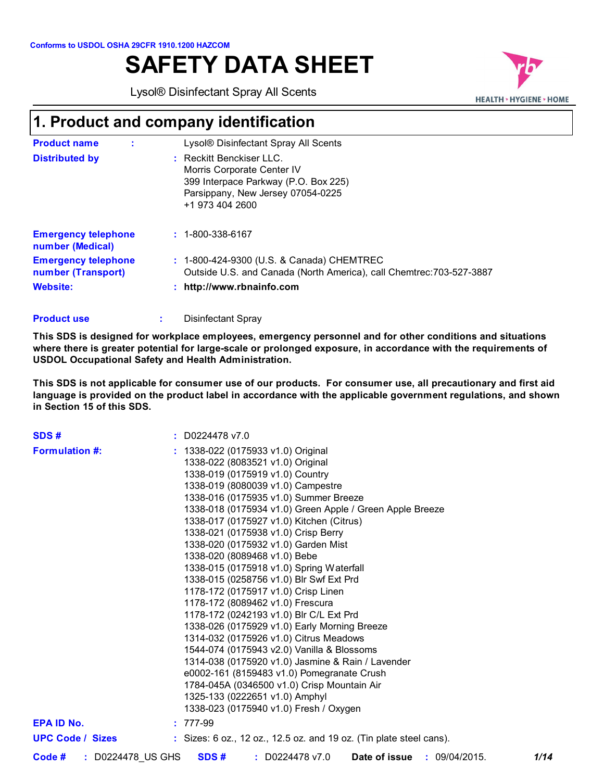# **SAFETY DATA SHEET**

Lysol® Disinfectant Spray All Scents



# **1. Product and company identification**

| <b>Product name</b>                              | Lysol® Disinfectant Spray All Scents                                                                                                                   |
|--------------------------------------------------|--------------------------------------------------------------------------------------------------------------------------------------------------------|
| <b>Distributed by</b>                            | : Reckitt Benckiser LLC.<br>Morris Corporate Center IV<br>399 Interpace Parkway (P.O. Box 225)<br>Parsippany, New Jersey 07054-0225<br>+1 973 404 2600 |
| <b>Emergency telephone</b><br>number (Medical)   | $: 1 - 800 - 338 - 6167$                                                                                                                               |
| <b>Emergency telephone</b><br>number (Transport) | : 1-800-424-9300 (U.S. & Canada) CHEMTREC<br>Outside U.S. and Canada (North America), call Chemtrec: 703-527-3887                                      |
| <b>Website:</b>                                  | : http://www.rbnainfo.com                                                                                                                              |

| <b>Product use</b> |  | Disinfectant Spray |
|--------------------|--|--------------------|
|--------------------|--|--------------------|

**This SDS is designed for workplace employees, emergency personnel and for other conditions and situations where there is greater potential for large-scale or prolonged exposure, in accordance with the requirements of USDOL Occupational Safety and Health Administration.**

**This SDS is not applicable for consumer use of our products. For consumer use, all precautionary and first aid language is provided on the product label in accordance with the applicable government regulations, and shown in Section 15 of this SDS.**

| SDS#                    |                   | $:$ D0224478 v7.0                                                                                                                                                                                                                                                                                                                                                                                                                                                                                                                                                                                                                                                                                                                                                                                                                                                                                                    |
|-------------------------|-------------------|----------------------------------------------------------------------------------------------------------------------------------------------------------------------------------------------------------------------------------------------------------------------------------------------------------------------------------------------------------------------------------------------------------------------------------------------------------------------------------------------------------------------------------------------------------------------------------------------------------------------------------------------------------------------------------------------------------------------------------------------------------------------------------------------------------------------------------------------------------------------------------------------------------------------|
| <b>Formulation #:</b>   |                   | : 1338-022 (0175933 v1.0) Original<br>1338-022 (8083521 v1.0) Original<br>1338-019 (0175919 v1.0) Country<br>1338-019 (8080039 v1.0) Campestre<br>1338-016 (0175935 v1.0) Summer Breeze<br>1338-018 (0175934 v1.0) Green Apple / Green Apple Breeze<br>1338-017 (0175927 v1.0) Kitchen (Citrus)<br>1338-021 (0175938 v1.0) Crisp Berry<br>1338-020 (0175932 v1.0) Garden Mist<br>1338-020 (8089468 v1.0) Bebe<br>1338-015 (0175918 v1.0) Spring Waterfall<br>1338-015 (0258756 v1.0) Blr Swf Ext Prd<br>1178-172 (0175917 v1.0) Crisp Linen<br>1178-172 (8089462 v1.0) Frescura<br>1178-172 (0242193 v1.0) Blr C/L Ext Prd<br>1338-026 (0175929 v1.0) Early Morning Breeze<br>1314-032 (0175926 v1.0) Citrus Meadows<br>1544-074 (0175943 v2.0) Vanilla & Blossoms<br>1314-038 (0175920 v1.0) Jasmine & Rain / Lavender<br>e0002-161 (8159483 v1.0) Pomegranate Crush<br>1784-045A (0346500 v1.0) Crisp Mountain Air |
|                         |                   | 1325-133 (0222651 v1.0) Amphyl                                                                                                                                                                                                                                                                                                                                                                                                                                                                                                                                                                                                                                                                                                                                                                                                                                                                                       |
|                         |                   | 1338-023 (0175940 v1.0) Fresh / Oxygen                                                                                                                                                                                                                                                                                                                                                                                                                                                                                                                                                                                                                                                                                                                                                                                                                                                                               |
| <b>EPA ID No.</b>       |                   | $: 777-99$                                                                                                                                                                                                                                                                                                                                                                                                                                                                                                                                                                                                                                                                                                                                                                                                                                                                                                           |
| <b>UPC Code / Sizes</b> |                   | $\therefore$ Sizes: 6 oz., 12 oz., 12.5 oz. and 19 oz. (Tin plate steel cans).                                                                                                                                                                                                                                                                                                                                                                                                                                                                                                                                                                                                                                                                                                                                                                                                                                       |
| Code #                  | : D0224478_US GHS | SDS#<br>: D0224478 v7.0<br><b>Date of issue : 09/04/2015.</b><br>1/14                                                                                                                                                                                                                                                                                                                                                                                                                                                                                                                                                                                                                                                                                                                                                                                                                                                |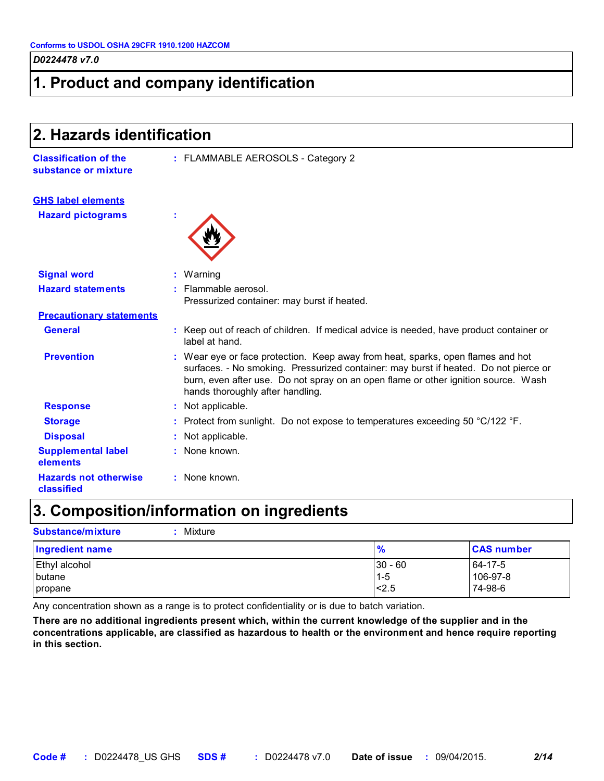### **1. Product and company identification**

| 2. Hazards identification                            |                                                                                                                                                                                                                                                                                                   |  |
|------------------------------------------------------|---------------------------------------------------------------------------------------------------------------------------------------------------------------------------------------------------------------------------------------------------------------------------------------------------|--|
| <b>Classification of the</b><br>substance or mixture | : FLAMMABLE AEROSOLS - Category 2                                                                                                                                                                                                                                                                 |  |
| <b>GHS label elements</b>                            |                                                                                                                                                                                                                                                                                                   |  |
| <b>Hazard pictograms</b>                             |                                                                                                                                                                                                                                                                                                   |  |
| <b>Signal word</b>                                   | : Warning                                                                                                                                                                                                                                                                                         |  |
| <b>Hazard statements</b>                             | : Flammable aerosol.<br>Pressurized container: may burst if heated.                                                                                                                                                                                                                               |  |
| <b>Precautionary statements</b>                      |                                                                                                                                                                                                                                                                                                   |  |
| <b>General</b>                                       | : Keep out of reach of children. If medical advice is needed, have product container or<br>label at hand.                                                                                                                                                                                         |  |
| <b>Prevention</b>                                    | : Wear eye or face protection. Keep away from heat, sparks, open flames and hot<br>surfaces. - No smoking. Pressurized container: may burst if heated. Do not pierce or<br>burn, even after use. Do not spray on an open flame or other ignition source. Wash<br>hands thoroughly after handling. |  |
| <b>Response</b>                                      | : Not applicable.                                                                                                                                                                                                                                                                                 |  |
| <b>Storage</b>                                       | : Protect from sunlight. Do not expose to temperatures exceeding 50 $^{\circ}$ C/122 $^{\circ}$ F.                                                                                                                                                                                                |  |
| <b>Disposal</b>                                      | Not applicable.                                                                                                                                                                                                                                                                                   |  |
| <b>Supplemental label</b><br>elements                | : None known.                                                                                                                                                                                                                                                                                     |  |
| <b>Hazards not otherwise</b><br>classified           | : None known.                                                                                                                                                                                                                                                                                     |  |

### **3. Composition/information on ingredients**

| <b>Substance/mixture</b><br>Mixture |               |                   |
|-------------------------------------|---------------|-------------------|
| Ingredient name                     | $\frac{9}{6}$ | <b>CAS number</b> |
| Ethyl alcohol                       | $30 - 60$     | 64-17-5           |
| <b>butane</b>                       | $1 - 5$       | 106-97-8          |
| propane                             | < 2.5         | 74-98-6           |

Any concentration shown as a range is to protect confidentiality or is due to batch variation.

**There are no additional ingredients present which, within the current knowledge of the supplier and in the concentrations applicable, are classified as hazardous to health or the environment and hence require reporting in this section.**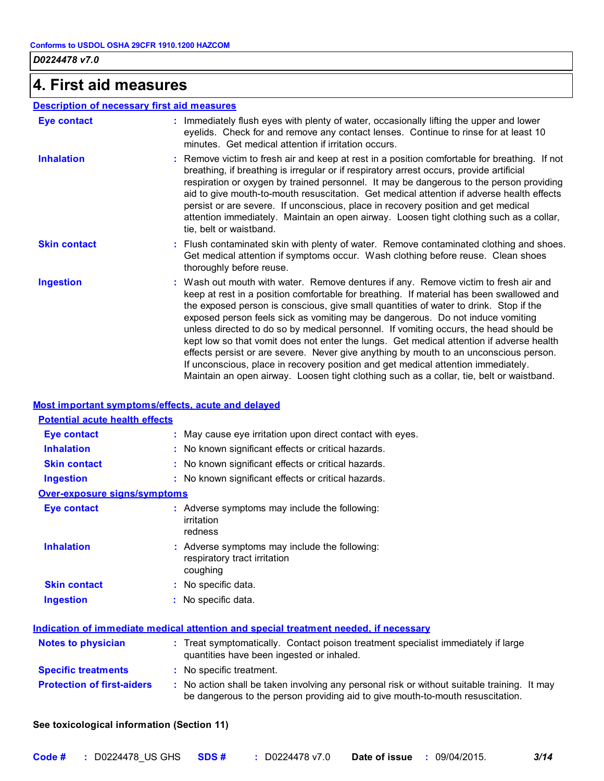### **4. First aid measures**

#### **Description of necessary first aid measures**

| Eye contact         | Immediately flush eyes with plenty of water, occasionally lifting the upper and lower<br>eyelids. Check for and remove any contact lenses. Continue to rinse for at least 10<br>minutes. Get medical attention if irritation occurs.                                                                                                                                                                                                                                                                                                                                                                                                                                                                                                                                                                                      |
|---------------------|---------------------------------------------------------------------------------------------------------------------------------------------------------------------------------------------------------------------------------------------------------------------------------------------------------------------------------------------------------------------------------------------------------------------------------------------------------------------------------------------------------------------------------------------------------------------------------------------------------------------------------------------------------------------------------------------------------------------------------------------------------------------------------------------------------------------------|
| <b>Inhalation</b>   | : Remove victim to fresh air and keep at rest in a position comfortable for breathing. If not<br>breathing, if breathing is irregular or if respiratory arrest occurs, provide artificial<br>respiration or oxygen by trained personnel. It may be dangerous to the person providing<br>aid to give mouth-to-mouth resuscitation. Get medical attention if adverse health effects<br>persist or are severe. If unconscious, place in recovery position and get medical<br>attention immediately. Maintain an open airway. Loosen tight clothing such as a collar,<br>tie, belt or waistband.                                                                                                                                                                                                                              |
| <b>Skin contact</b> | Flush contaminated skin with plenty of water. Remove contaminated clothing and shoes.<br>Get medical attention if symptoms occur. Wash clothing before reuse. Clean shoes<br>thoroughly before reuse.                                                                                                                                                                                                                                                                                                                                                                                                                                                                                                                                                                                                                     |
| <b>Ingestion</b>    | : Wash out mouth with water. Remove dentures if any. Remove victim to fresh air and<br>keep at rest in a position comfortable for breathing. If material has been swallowed and<br>the exposed person is conscious, give small quantities of water to drink. Stop if the<br>exposed person feels sick as vomiting may be dangerous. Do not induce vomiting<br>unless directed to do so by medical personnel. If vomiting occurs, the head should be<br>kept low so that vomit does not enter the lungs. Get medical attention if adverse health<br>effects persist or are severe. Never give anything by mouth to an unconscious person.<br>If unconscious, place in recovery position and get medical attention immediately.<br>Maintain an open airway. Loosen tight clothing such as a collar, tie, belt or waistband. |

#### **Most important symptoms/effects, acute and delayed**

| <b>Potential acute health effects</b> |                                                                                                                                |
|---------------------------------------|--------------------------------------------------------------------------------------------------------------------------------|
| <b>Eye contact</b>                    | : May cause eye irritation upon direct contact with eyes.                                                                      |
| <b>Inhalation</b>                     | : No known significant effects or critical hazards.                                                                            |
| <b>Skin contact</b>                   | : No known significant effects or critical hazards.                                                                            |
| <b>Ingestion</b>                      | : No known significant effects or critical hazards.                                                                            |
| Over-exposure signs/symptoms          |                                                                                                                                |
| <b>Eye contact</b>                    | : Adverse symptoms may include the following:<br><i>irritation</i><br>redness                                                  |
| <b>Inhalation</b>                     | : Adverse symptoms may include the following:<br>respiratory tract irritation<br>coughing                                      |
| <b>Skin contact</b>                   | : No specific data.                                                                                                            |
| <b>Ingestion</b>                      | : No specific data.                                                                                                            |
|                                       | <u>Indication of immediate medical attention and special treatment needed, if necessary</u>                                    |
| <b>Notes to physician</b>             | : Treat symptomatically. Contact poison treatment specialist immediately if large<br>quantities have been ingested or inhaled. |
| <b>Specific treatments</b>            | : No specific treatment.                                                                                                       |
| <b>Protection of first-aiders</b>     | . No action shall be taken involving any personal risk or without suitable training. It may                                    |

**Protection of first-aiders :** No action shall be taken involving any personal risk or without suitable training. It may be dangerous to the person providing aid to give mouth-to-mouth resuscitation.

#### **See toxicological information (Section 11)**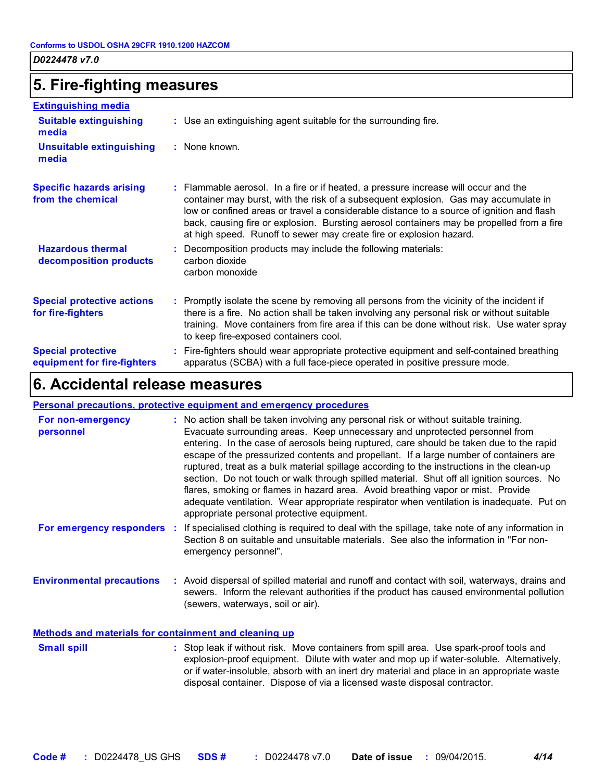### **5. Fire-fighting measures**

| <b>Extinguishing media</b>                               |                                                                                                                                                                                                                                                                                                                                                                                                                                             |
|----------------------------------------------------------|---------------------------------------------------------------------------------------------------------------------------------------------------------------------------------------------------------------------------------------------------------------------------------------------------------------------------------------------------------------------------------------------------------------------------------------------|
| <b>Suitable extinguishing</b><br>media                   | : Use an extinguishing agent suitable for the surrounding fire.                                                                                                                                                                                                                                                                                                                                                                             |
| <b>Unsuitable extinguishing</b><br>media                 | : None known.                                                                                                                                                                                                                                                                                                                                                                                                                               |
| <b>Specific hazards arising</b><br>from the chemical     | : Flammable aerosol. In a fire or if heated, a pressure increase will occur and the<br>container may burst, with the risk of a subsequent explosion. Gas may accumulate in<br>low or confined areas or travel a considerable distance to a source of ignition and flash<br>back, causing fire or explosion. Bursting aerosol containers may be propelled from a fire<br>at high speed. Runoff to sewer may create fire or explosion hazard. |
| <b>Hazardous thermal</b><br>decomposition products       | : Decomposition products may include the following materials:<br>carbon dioxide<br>carbon monoxide                                                                                                                                                                                                                                                                                                                                          |
| <b>Special protective actions</b><br>for fire-fighters   | : Promptly isolate the scene by removing all persons from the vicinity of the incident if<br>there is a fire. No action shall be taken involving any personal risk or without suitable<br>training. Move containers from fire area if this can be done without risk. Use water spray<br>to keep fire-exposed containers cool.                                                                                                               |
| <b>Special protective</b><br>equipment for fire-fighters | : Fire-fighters should wear appropriate protective equipment and self-contained breathing<br>apparatus (SCBA) with a full face-piece operated in positive pressure mode.                                                                                                                                                                                                                                                                    |

### **6. Accidental release measures**

#### **Personal precautions, protective equipment and emergency procedures**

| For non-emergency<br>personnel                        | : No action shall be taken involving any personal risk or without suitable training.<br>Evacuate surrounding areas. Keep unnecessary and unprotected personnel from<br>entering. In the case of aerosols being ruptured, care should be taken due to the rapid<br>escape of the pressurized contents and propellant. If a large number of containers are<br>ruptured, treat as a bulk material spillage according to the instructions in the clean-up<br>section. Do not touch or walk through spilled material. Shut off all ignition sources. No<br>flares, smoking or flames in hazard area. Avoid breathing vapor or mist. Provide<br>adequate ventilation. Wear appropriate respirator when ventilation is inadequate. Put on<br>appropriate personal protective equipment. |
|-------------------------------------------------------|----------------------------------------------------------------------------------------------------------------------------------------------------------------------------------------------------------------------------------------------------------------------------------------------------------------------------------------------------------------------------------------------------------------------------------------------------------------------------------------------------------------------------------------------------------------------------------------------------------------------------------------------------------------------------------------------------------------------------------------------------------------------------------|
| For emergency responders :                            | If specialised clothing is required to deal with the spillage, take note of any information in<br>Section 8 on suitable and unsuitable materials. See also the information in "For non-<br>emergency personnel".                                                                                                                                                                                                                                                                                                                                                                                                                                                                                                                                                                 |
| <b>Environmental precautions</b>                      | : Avoid dispersal of spilled material and runoff and contact with soil, waterways, drains and<br>sewers. Inform the relevant authorities if the product has caused environmental pollution<br>(sewers, waterways, soil or air).                                                                                                                                                                                                                                                                                                                                                                                                                                                                                                                                                  |
| Methods and materials for containment and cleaning up |                                                                                                                                                                                                                                                                                                                                                                                                                                                                                                                                                                                                                                                                                                                                                                                  |

: Stop leak if without risk. Move containers from spill area. Use spark-proof tools and explosion-proof equipment. Dilute with water and mop up if water-soluble. Alternatively, or if water-insoluble, absorb with an inert dry material and place in an appropriate waste disposal container. Dispose of via a licensed waste disposal contractor. **Small spill :**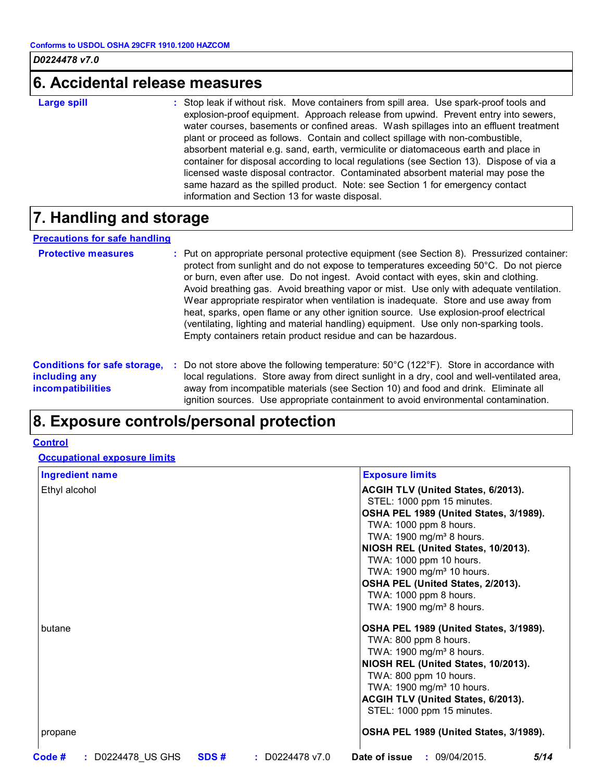### **6. Accidental release measures**

**Large spill :**

Stop leak if without risk. Move containers from spill area. Use spark-proof tools and explosion-proof equipment. Approach release from upwind. Prevent entry into sewers, water courses, basements or confined areas. Wash spillages into an effluent treatment plant or proceed as follows. Contain and collect spillage with non-combustible, absorbent material e.g. sand, earth, vermiculite or diatomaceous earth and place in container for disposal according to local regulations (see Section 13). Dispose of via a licensed waste disposal contractor. Contaminated absorbent material may pose the same hazard as the spilled product. Note: see Section 1 for emergency contact information and Section 13 for waste disposal.

### **7. Handling and storage**

#### **Precautions for safe handling**

| <b>Protective measures</b>                                                       | : Put on appropriate personal protective equipment (see Section 8). Pressurized container:<br>protect from sunlight and do not expose to temperatures exceeding 50°C. Do not pierce<br>or burn, even after use. Do not ingest. Avoid contact with eyes, skin and clothing.<br>Avoid breathing gas. Avoid breathing vapor or mist. Use only with adequate ventilation.<br>Wear appropriate respirator when ventilation is inadequate. Store and use away from<br>heat, sparks, open flame or any other ignition source. Use explosion-proof electrical<br>(ventilating, lighting and material handling) equipment. Use only non-sparking tools.<br>Empty containers retain product residue and can be hazardous. |
|----------------------------------------------------------------------------------|-----------------------------------------------------------------------------------------------------------------------------------------------------------------------------------------------------------------------------------------------------------------------------------------------------------------------------------------------------------------------------------------------------------------------------------------------------------------------------------------------------------------------------------------------------------------------------------------------------------------------------------------------------------------------------------------------------------------|
| <b>Conditions for safe storage,</b><br>including any<br><i>incompatibilities</i> | Do not store above the following temperature: $50^{\circ}$ C (122 $^{\circ}$ F). Store in accordance with<br>local regulations. Store away from direct sunlight in a dry, cool and well-ventilated area,<br>away from incompatible materials (see Section 10) and food and drink. Eliminate all<br>ignition sources. Use appropriate containment to avoid environmental contamination.                                                                                                                                                                                                                                                                                                                          |

### **8. Exposure controls/personal protection**

#### **Control**

**Occupational exposure limits**

| <b>Ingredient name</b> |                      | <b>Exposure limits</b>                                                  |
|------------------------|----------------------|-------------------------------------------------------------------------|
| Ethyl alcohol          |                      | <b>ACGIH TLV (United States, 6/2013).</b><br>STEL: 1000 ppm 15 minutes. |
|                        |                      | OSHA PEL 1989 (United States, 3/1989).                                  |
|                        |                      | TWA: 1000 ppm 8 hours.                                                  |
|                        |                      | TWA: 1900 mg/m <sup>3</sup> 8 hours.                                    |
|                        |                      | NIOSH REL (United States, 10/2013).                                     |
|                        |                      | TWA: 1000 ppm 10 hours.                                                 |
|                        |                      | TWA: 1900 mg/m <sup>3</sup> 10 hours.                                   |
|                        |                      | OSHA PEL (United States, 2/2013).                                       |
|                        |                      | TWA: 1000 ppm 8 hours.                                                  |
|                        |                      | TWA: 1900 mg/m <sup>3</sup> 8 hours.                                    |
| butane                 |                      | OSHA PEL 1989 (United States, 3/1989).                                  |
|                        |                      | TWA: 800 ppm 8 hours.                                                   |
|                        |                      | TWA: 1900 mg/m <sup>3</sup> 8 hours.                                    |
|                        |                      | NIOSH REL (United States, 10/2013).                                     |
|                        |                      | TWA: 800 ppm 10 hours.                                                  |
|                        |                      | TWA: 1900 mg/m <sup>3</sup> 10 hours.                                   |
|                        |                      | ACGIH TLV (United States, 6/2013).                                      |
|                        |                      | STEL: 1000 ppm 15 minutes.                                              |
| propane                |                      | OSHA PEL 1989 (United States, 3/1989).                                  |
| Code #                 | $\div$ D0224478 v7.0 | <b>Date of issue : 09/04/2015.</b><br>5/14                              |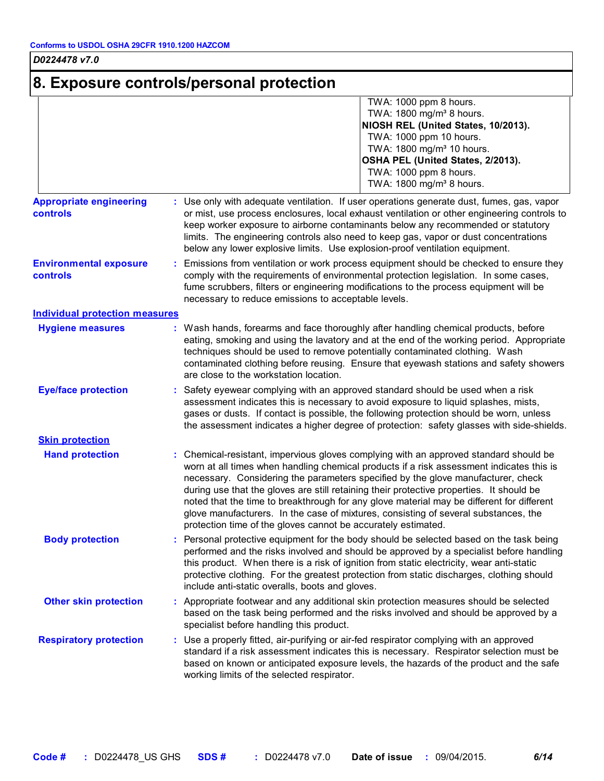# **8. Exposure controls/personal protection**

|                                                   | TWA: 1000 ppm 8 hours.<br>TWA: 1800 mg/m <sup>3</sup> 8 hours.<br>NIOSH REL (United States, 10/2013).<br>TWA: 1000 ppm 10 hours.<br>TWA: 1800 mg/m <sup>3</sup> 10 hours.<br>OSHA PEL (United States, 2/2013).<br>TWA: 1000 ppm 8 hours.<br>TWA: 1800 mg/m <sup>3</sup> 8 hours.                                                                                                                                                                                                                                                                                                                                     |
|---------------------------------------------------|----------------------------------------------------------------------------------------------------------------------------------------------------------------------------------------------------------------------------------------------------------------------------------------------------------------------------------------------------------------------------------------------------------------------------------------------------------------------------------------------------------------------------------------------------------------------------------------------------------------------|
| <b>Appropriate engineering</b><br><b>controls</b> | : Use only with adequate ventilation. If user operations generate dust, fumes, gas, vapor<br>or mist, use process enclosures, local exhaust ventilation or other engineering controls to<br>keep worker exposure to airborne contaminants below any recommended or statutory<br>limits. The engineering controls also need to keep gas, vapor or dust concentrations<br>below any lower explosive limits. Use explosion-proof ventilation equipment.                                                                                                                                                                 |
| <b>Environmental exposure</b><br>controls         | : Emissions from ventilation or work process equipment should be checked to ensure they<br>comply with the requirements of environmental protection legislation. In some cases,<br>fume scrubbers, filters or engineering modifications to the process equipment will be<br>necessary to reduce emissions to acceptable levels.                                                                                                                                                                                                                                                                                      |
| <b>Individual protection measures</b>             |                                                                                                                                                                                                                                                                                                                                                                                                                                                                                                                                                                                                                      |
| <b>Hygiene measures</b>                           | : Wash hands, forearms and face thoroughly after handling chemical products, before<br>eating, smoking and using the lavatory and at the end of the working period. Appropriate<br>techniques should be used to remove potentially contaminated clothing. Wash<br>contaminated clothing before reusing. Ensure that eyewash stations and safety showers<br>are close to the workstation location.                                                                                                                                                                                                                    |
| <b>Eye/face protection</b>                        | : Safety eyewear complying with an approved standard should be used when a risk<br>assessment indicates this is necessary to avoid exposure to liquid splashes, mists,<br>gases or dusts. If contact is possible, the following protection should be worn, unless<br>the assessment indicates a higher degree of protection: safety glasses with side-shields.                                                                                                                                                                                                                                                       |
| <b>Skin protection</b>                            |                                                                                                                                                                                                                                                                                                                                                                                                                                                                                                                                                                                                                      |
| <b>Hand protection</b>                            | Chemical-resistant, impervious gloves complying with an approved standard should be<br>worn at all times when handling chemical products if a risk assessment indicates this is<br>necessary. Considering the parameters specified by the glove manufacturer, check<br>during use that the gloves are still retaining their protective properties. It should be<br>noted that the time to breakthrough for any glove material may be different for different<br>glove manufacturers. In the case of mixtures, consisting of several substances, the<br>protection time of the gloves cannot be accurately estimated. |
| <b>Body protection</b>                            | : Personal protective equipment for the body should be selected based on the task being<br>performed and the risks involved and should be approved by a specialist before handling<br>this product. When there is a risk of ignition from static electricity, wear anti-static<br>protective clothing. For the greatest protection from static discharges, clothing should<br>include anti-static overalls, boots and gloves.                                                                                                                                                                                        |
| <b>Other skin protection</b>                      | : Appropriate footwear and any additional skin protection measures should be selected<br>based on the task being performed and the risks involved and should be approved by a<br>specialist before handling this product.                                                                                                                                                                                                                                                                                                                                                                                            |
| <b>Respiratory protection</b>                     | : Use a properly fitted, air-purifying or air-fed respirator complying with an approved<br>standard if a risk assessment indicates this is necessary. Respirator selection must be<br>based on known or anticipated exposure levels, the hazards of the product and the safe<br>working limits of the selected respirator.                                                                                                                                                                                                                                                                                           |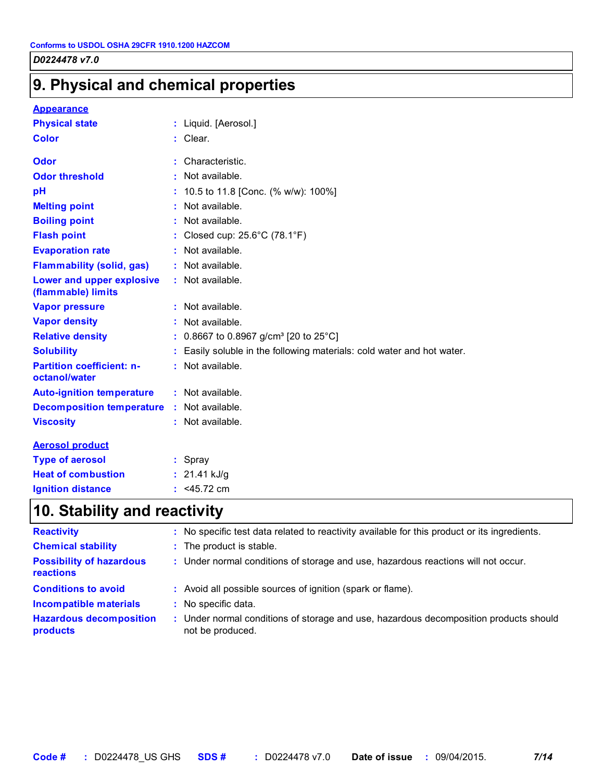# **9. Physical and chemical properties**

#### **Appearance**

| <b>Physical state</b>                             | : Liquid. [Aerosol.]                                                 |
|---------------------------------------------------|----------------------------------------------------------------------|
| <b>Color</b>                                      | : Clear.                                                             |
| Odor                                              | Characteristic.                                                      |
| <b>Odor threshold</b>                             | Not available.                                                       |
| pH                                                | 10.5 to 11.8 [Conc. (% w/w): 100%]                                   |
| <b>Melting point</b>                              | Not available.                                                       |
| <b>Boiling point</b>                              | : Not available.                                                     |
| <b>Flash point</b>                                | Closed cup: 25.6°C (78.1°F)                                          |
| <b>Evaporation rate</b>                           | : Not available.                                                     |
| <b>Flammability (solid, gas)</b>                  | : Not available.                                                     |
| Lower and upper explosive<br>(flammable) limits   | : Not available.                                                     |
| <b>Vapor pressure</b>                             | : Not available.                                                     |
| <b>Vapor density</b>                              | Not available.                                                       |
| <b>Relative density</b>                           | 0.8667 to 0.8967 g/cm <sup>3</sup> [20 to 25°C]                      |
| <b>Solubility</b>                                 | Easily soluble in the following materials: cold water and hot water. |
| <b>Partition coefficient: n-</b><br>octanol/water | : Not available.                                                     |
| <b>Auto-ignition temperature</b>                  | : Not available.                                                     |
| <b>Decomposition temperature</b>                  | : Not available.                                                     |
| <b>Viscosity</b>                                  | : Not available.                                                     |
| <b>Aerosol product</b>                            |                                                                      |
| <b>Type of aerosol</b>                            | $:$ Spray                                                            |
| <b>Heat of combustion</b>                         | : $21.41$ kJ/g                                                       |
| <b>Ignition distance</b>                          | : $<$ 45.72 cm                                                       |

# **10. Stability and reactivity**

| <b>Reactivity</b>                            | : No specific test data related to reactivity available for this product or its ingredients.              |
|----------------------------------------------|-----------------------------------------------------------------------------------------------------------|
| <b>Chemical stability</b>                    | : The product is stable.                                                                                  |
| <b>Possibility of hazardous</b><br>reactions | : Under normal conditions of storage and use, hazardous reactions will not occur.                         |
| <b>Conditions to avoid</b>                   | : Avoid all possible sources of ignition (spark or flame).                                                |
| <b>Incompatible materials</b>                | : No specific data.                                                                                       |
| <b>Hazardous decomposition</b><br>products   | : Under normal conditions of storage and use, hazardous decomposition products should<br>not be produced. |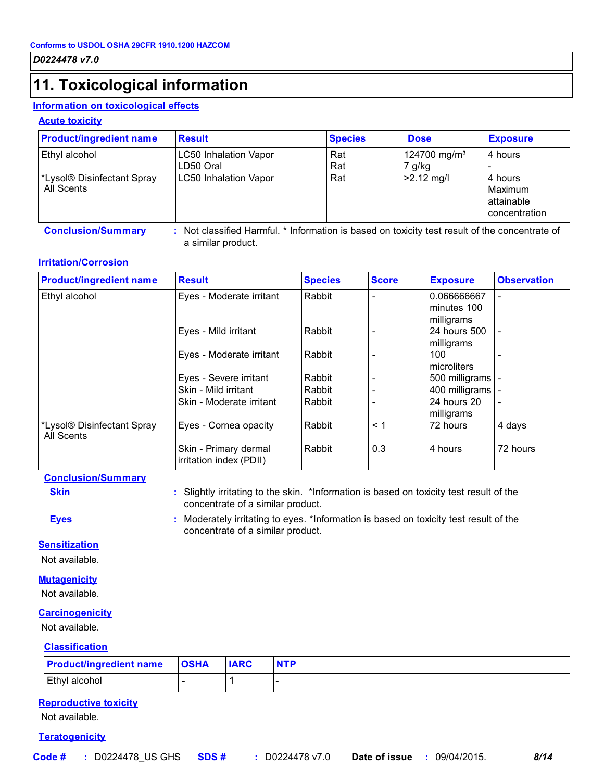# **11. Toxicological information**

#### **Information on toxicological effects**

#### **Acute toxicity**

| <b>Product/ingredient name</b>                            | <b>Result</b>                                                      | <b>Species</b>    | <b>Dose</b>                                          | <b>Exposure</b>                     |
|-----------------------------------------------------------|--------------------------------------------------------------------|-------------------|------------------------------------------------------|-------------------------------------|
| Ethyl alcohol<br>*Lysol® Disinfectant Spray<br>All Scents | LC50 Inhalation Vapor<br>LD50 Oral<br><b>LC50 Inhalation Vapor</b> | Rat<br>Rat<br>Rat | 124700 mg/m <sup>3</sup><br>$7$ g/kg<br>$>2.12$ mg/l | 14 hours<br>14 hours<br>Maximum     |
|                                                           |                                                                    |                   |                                                      | lattainable<br><b>concentration</b> |

**Conclusion/Summary :** Not classified Harmful. \* Information is based on toxicity test result of the concentrate of a similar product.

#### **Irritation/Corrosion**

| <b>Product/ingredient name</b>           | <b>Result</b>                                    | <b>Species</b> | <b>Score</b> | <b>Exposure</b>    | <b>Observation</b>       |
|------------------------------------------|--------------------------------------------------|----------------|--------------|--------------------|--------------------------|
| Ethyl alcohol                            | Eyes - Moderate irritant                         | Rabbit         |              | 0.066666667        |                          |
|                                          |                                                  |                |              | minutes 100        |                          |
|                                          |                                                  |                |              | milligrams         |                          |
|                                          | Eyes - Mild irritant                             | Rabbit         |              | 24 hours 500       | $\overline{\phantom{a}}$ |
|                                          |                                                  |                |              | milligrams         |                          |
|                                          | Eyes - Moderate irritant                         | Rabbit         |              | 100                |                          |
|                                          |                                                  |                |              | microliters        |                          |
|                                          | Eyes - Severe irritant                           | Rabbit         |              | 500 milligrams   - |                          |
|                                          | Skin - Mild irritant                             | Rabbit         |              | 400 milligrams   - |                          |
|                                          | Skin - Moderate irritant                         | Rabbit         |              | 24 hours 20        | $\overline{\phantom{a}}$ |
|                                          |                                                  |                |              | milligrams         |                          |
| *Lysol® Disinfectant Spray<br>All Scents | Eyes - Cornea opacity                            | Rabbit         | $\leq 1$     | 72 hours           | 4 days                   |
|                                          | Skin - Primary dermal<br>irritation index (PDII) | Rabbit         | 0.3          | 4 hours            | 72 hours                 |

#### **Conclusion/Summary**

**Skin Slightly irritating to the skin.** \*Information is based on toxicity test result of the concentrate of a similar product.

**Eyes :** Moderately irritating to eyes. \*Information is based on toxicity test result of the concentrate of a similar product.

#### **Sensitization**

Not available.

#### **Mutagenicity**

Not available.

#### **Carcinogenicity**

Not available.

#### **Classification**

| <b>Product/ingredient name</b> | <b>OSHA</b> | <b>IARC</b> | <b>NTP</b> |
|--------------------------------|-------------|-------------|------------|
| Ethyl alcohol                  |             |             |            |

#### **Reproductive toxicity**

Not available.

#### **Teratogenicity**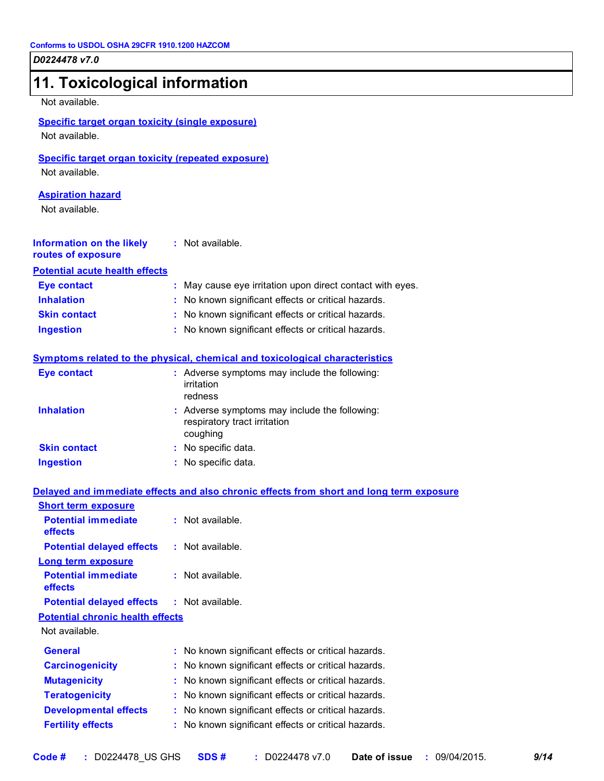| 11. Toxicological information                                               |                                                                                           |
|-----------------------------------------------------------------------------|-------------------------------------------------------------------------------------------|
| Not available.                                                              |                                                                                           |
| <b>Specific target organ toxicity (single exposure)</b><br>Not available.   |                                                                                           |
| <b>Specific target organ toxicity (repeated exposure)</b><br>Not available. |                                                                                           |
| <b>Aspiration hazard</b><br>Not available.                                  |                                                                                           |
| Information on the likely<br>routes of exposure                             | : Not available.                                                                          |
| <b>Potential acute health effects</b>                                       |                                                                                           |
| <b>Eye contact</b>                                                          | : May cause eye irritation upon direct contact with eyes.                                 |
| <b>Inhalation</b>                                                           | : No known significant effects or critical hazards.                                       |
| <b>Skin contact</b>                                                         | : No known significant effects or critical hazards.                                       |
| <b>Ingestion</b>                                                            | : No known significant effects or critical hazards.                                       |
|                                                                             | <b>Symptoms related to the physical, chemical and toxicological characteristics</b>       |
| <b>Eye contact</b>                                                          | : Adverse symptoms may include the following:<br>irritation<br>redness                    |
| <b>Inhalation</b>                                                           | : Adverse symptoms may include the following:<br>respiratory tract irritation<br>coughing |
| <b>Skin contact</b>                                                         | : No specific data.                                                                       |
| <b>Ingestion</b>                                                            | : No specific data.                                                                       |
|                                                                             | Delayed and immediate effects and also chronic effects from short and long term exposure  |
| <b>Short term exposure</b>                                                  |                                                                                           |
| <b>Potential immediate</b><br>effects                                       | : Not available.                                                                          |
| <b>Potential delayed effects</b>                                            | : Not available.                                                                          |
| <b>Long term exposure</b>                                                   |                                                                                           |
| <b>Potential immediate</b><br>effects                                       | $:$ Not available.                                                                        |
| <b>Potential delayed effects</b>                                            | $:$ Not available.                                                                        |
| <b>Potential chronic health effects</b><br>Not available.                   |                                                                                           |
| <b>General</b>                                                              | : No known significant effects or critical hazards.                                       |
| <b>Carcinogenicity</b>                                                      | : No known significant effects or critical hazards.                                       |

**Mutagenicity :** No known significant effects or critical hazards. **Teratogenicity :** No known significant effects or critical hazards. **Developmental effects :** No known significant effects or critical hazards. **Fertility effects :** No known significant effects or critical hazards.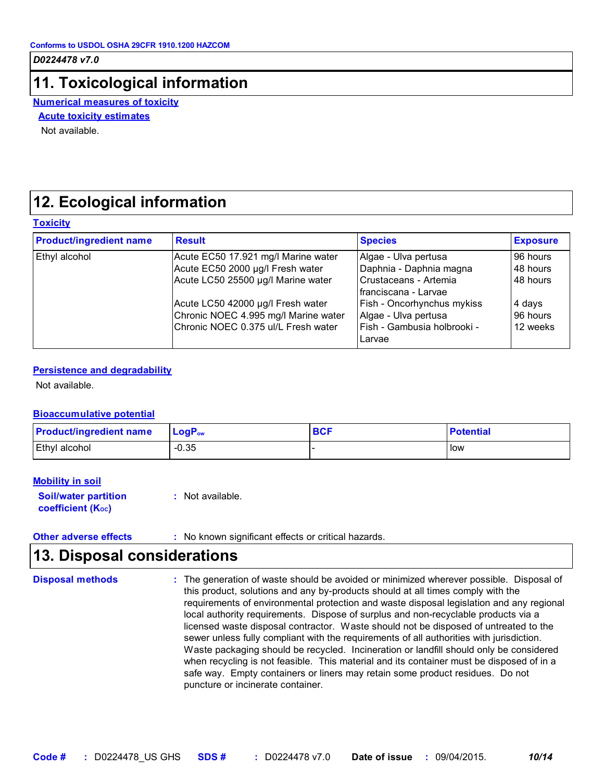### **11. Toxicological information**

**Numerical measures of toxicity**

#### **Acute toxicity estimates**

Not available.

### **12. Ecological information**

#### **Toxicity**

| <b>Product/ingredient name</b> | <b>Result</b>                                                                                                                                                                              | <b>Species</b>                                                                                                                                         | <b>Exposure</b>                                        |
|--------------------------------|--------------------------------------------------------------------------------------------------------------------------------------------------------------------------------------------|--------------------------------------------------------------------------------------------------------------------------------------------------------|--------------------------------------------------------|
| Ethyl alcohol                  | Acute EC50 17.921 mg/l Marine water<br>Acute EC50 2000 µg/l Fresh water<br>Acute LC50 25500 µg/l Marine water<br>Acute LC50 42000 µg/l Fresh water<br>Chronic NOEC 4.995 mg/l Marine water | Algae - Ulva pertusa<br>Daphnia - Daphnia magna<br>Crustaceans - Artemia<br>franciscana - Larvae<br>Fish - Oncorhynchus mykiss<br>Algae - Ulva pertusa | 96 hours<br>48 hours<br>48 hours<br>4 days<br>96 hours |
|                                | Chronic NOEC 0.375 ul/L Fresh water                                                                                                                                                        | Fish - Gambusia holbrooki -<br>Larvae                                                                                                                  | 12 weeks                                               |

#### **Persistence and degradability**

Not available.

#### **Bioaccumulative potential**

| <b>Product/ingredient name</b> | $\mathsf{LogP}_\mathsf{ow}$ | <b>BCF</b> | <b>Potential</b> |
|--------------------------------|-----------------------------|------------|------------------|
| <b>Ethyl alcohol</b>           | $-0.35$                     |            | low              |

#### **Mobility in soil**

**Soil/water partition coefficient (K**<sub>oc</sub>) **:** Not available.

**Other adverse effects** : No known significant effects or critical hazards.

### **13. Disposal considerations**

The generation of waste should be avoided or minimized wherever possible. Disposal of this product, solutions and any by-products should at all times comply with the requirements of environmental protection and waste disposal legislation and any regional local authority requirements. Dispose of surplus and non-recyclable products via a licensed waste disposal contractor. Waste should not be disposed of untreated to the sewer unless fully compliant with the requirements of all authorities with jurisdiction. Waste packaging should be recycled. Incineration or landfill should only be considered when recycling is not feasible. This material and its container must be disposed of in a safe way. Empty containers or liners may retain some product residues. Do not puncture or incinerate container. **Disposal methods :**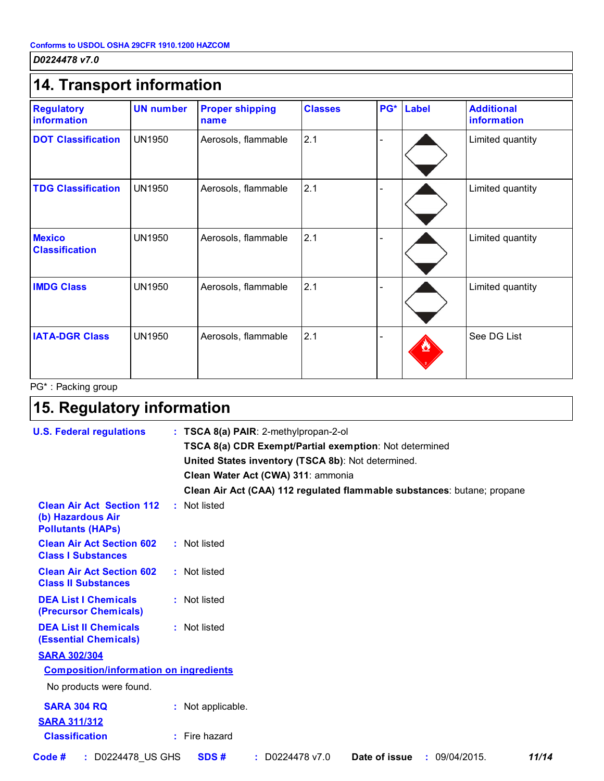### **14. Transport information DOT Classification** UN1950 Aerosols, flammable 2.1 Aerosols, and American Classification and Limited quantity **TDG Classification** UN1950 Aerosols, flammable 2.1 |-**IMDG Class** Alexinophysic Class Alexander Class Alexander Class And Aerosols, flammable 2.1 And Alexander Class **IATA-DGR Class** UN1950 Aerosols, flammable 2.1 **Regulatory information UN number Proper shipping name Classes PG\* Label Additional information** - See DG List UN1950 Limited quantity **Mexico Classification** UN1950 Aerosols, flammable 2.1 - Limited quantity

PG\* : Packing group

# **15. Regulatory information**

| <b>U.S. Federal regulations</b>                                                   | : TSCA 8(a) PAIR: 2-methylpropan-2-ol                                    |
|-----------------------------------------------------------------------------------|--------------------------------------------------------------------------|
|                                                                                   | TSCA 8(a) CDR Exempt/Partial exemption: Not determined                   |
|                                                                                   | United States inventory (TSCA 8b): Not determined.                       |
|                                                                                   | Clean Water Act (CWA) 311: ammonia                                       |
|                                                                                   | Clean Air Act (CAA) 112 regulated flammable substances: butane; propane  |
| <b>Clean Air Act Section 112</b><br>(b) Hazardous Air<br><b>Pollutants (HAPS)</b> | : Not listed                                                             |
| <b>Clean Air Act Section 602</b><br><b>Class I Substances</b>                     | : Not listed                                                             |
| <b>Clean Air Act Section 602</b><br><b>Class II Substances</b>                    | : Not listed                                                             |
| <b>DEA List I Chemicals</b><br>(Precursor Chemicals)                              | : Not listed                                                             |
| <b>DEA List II Chemicals</b><br><b>(Essential Chemicals)</b>                      | : Not listed                                                             |
| <b>SARA 302/304</b>                                                               |                                                                          |
| <b>Composition/information on ingredients</b>                                     |                                                                          |
| No products were found.                                                           |                                                                          |
| <b>SARA 304 RQ</b>                                                                | : Not applicable.                                                        |
| <b>SARA 311/312</b>                                                               |                                                                          |
| <b>Classification</b>                                                             | : Fire hazard                                                            |
| Code #<br>: D0224478 US GHS                                                       | SDS#<br>$:$ D0224478 v7.0<br><b>Date of issue : 09/04/2015.</b><br>11/14 |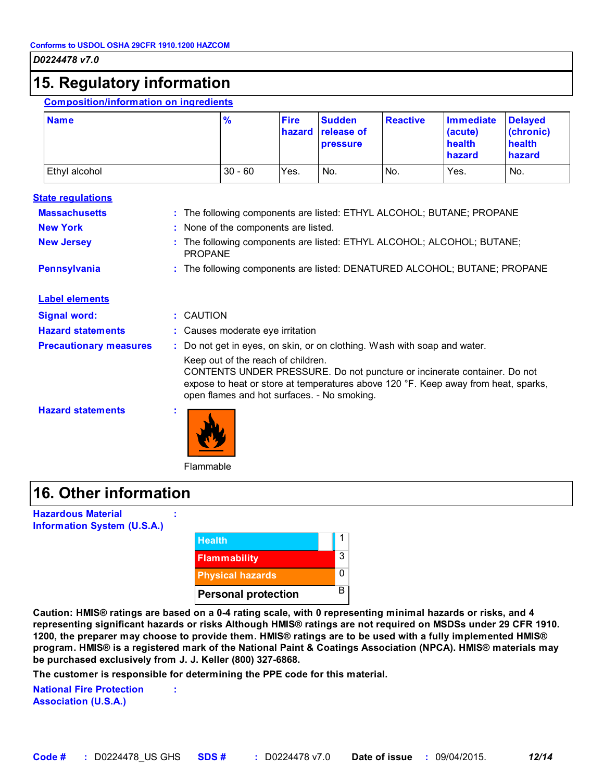### **15. Regulatory information**

#### **Composition/information on ingredients**

| <b>Name</b>   | $\frac{9}{6}$ | <b>Fire</b> | <b>Sudden</b><br>hazard release of<br><b>pressure</b> | <b>Reactive</b> | Immediate<br>(acute)<br>health<br>hazard | <b>Delaved</b><br>(chronic)<br>health<br>hazard |
|---------------|---------------|-------------|-------------------------------------------------------|-----------------|------------------------------------------|-------------------------------------------------|
| Ethyl alcohol | $30 - 60$     | Yes.        | No.                                                   | IN <sub>o</sub> | Yes.                                     | No.                                             |

#### **State regulations**

| <b>Massachusetts</b><br><b>New York</b><br><b>New Jersey</b> | : The following components are listed: ETHYL ALCOHOL; BUTANE; PROPANE<br>: None of the components are listed.<br>The following components are listed: ETHYL ALCOHOL; ALCOHOL; BUTANE;                                                                                                                                           |
|--------------------------------------------------------------|---------------------------------------------------------------------------------------------------------------------------------------------------------------------------------------------------------------------------------------------------------------------------------------------------------------------------------|
| <b>Pennsylvania</b>                                          | <b>PROPANE</b><br>: The following components are listed: DENATURED ALCOHOL; BUTANE; PROPANE                                                                                                                                                                                                                                     |
| <b>Label elements</b>                                        |                                                                                                                                                                                                                                                                                                                                 |
| <b>Signal word:</b>                                          | : CAUTION                                                                                                                                                                                                                                                                                                                       |
| <b>Hazard statements</b>                                     | : Causes moderate eye irritation                                                                                                                                                                                                                                                                                                |
| <b>Precautionary measures</b>                                | : Do not get in eyes, on skin, or on clothing. Wash with soap and water.<br>Keep out of the reach of children.<br>CONTENTS UNDER PRESSURE. Do not puncture or incinerate container. Do not<br>expose to heat or store at temperatures above 120 °F. Keep away from heat, sparks,<br>open flames and hot surfaces. - No smoking. |
| <b>Hazard statements</b>                                     |                                                                                                                                                                                                                                                                                                                                 |

Flammable

**:**

### **16. Other information**

**Hazardous Material Information System (U.S.A.)**

| <b>Health</b>              |   |
|----------------------------|---|
| <b>Flammability</b>        | 3 |
| <b>Physical hazards</b>    | 0 |
| <b>Personal protection</b> | B |

**Caution: HMIS® ratings are based on a 0-4 rating scale, with 0 representing minimal hazards or risks, and 4 representing significant hazards or risks Although HMIS® ratings are not required on MSDSs under 29 CFR 1910. 1200, the preparer may choose to provide them. HMIS® ratings are to be used with a fully implemented HMIS® program. HMIS® is a registered mark of the National Paint & Coatings Association (NPCA). HMIS® materials may be purchased exclusively from J. J. Keller (800) 327-6868.**

**The customer is responsible for determining the PPE code for this material.**

**:**

**National Fire Protection Association (U.S.A.)**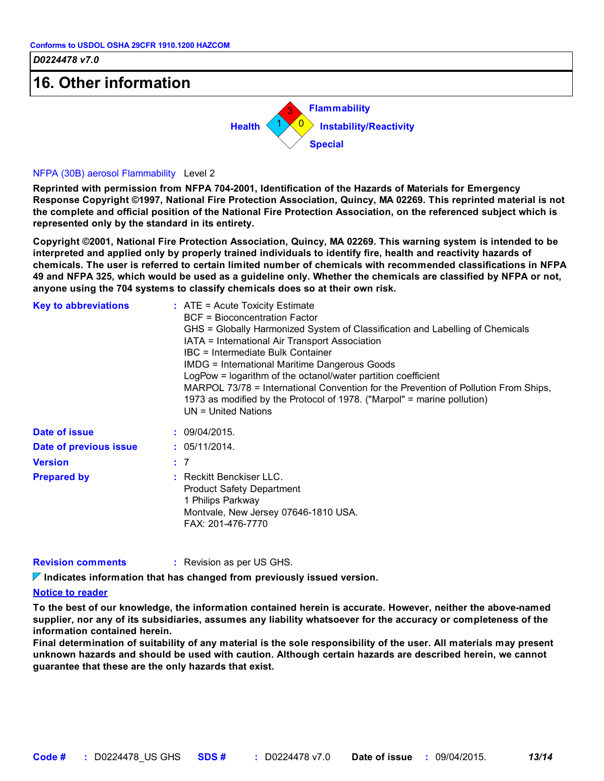# **16. Other information**



#### NFPA (30B) aerosol Flammability Level 2

**Reprinted with permission from NFPA 704-2001, Identification of the Hazards of Materials for Emergency Response Copyright ©1997, National Fire Protection Association, Quincy, MA 02269. This reprinted material is not the complete and official position of the National Fire Protection Association, on the referenced subject which is represented only by the standard in its entirety.**

**Copyright ©2001, National Fire Protection Association, Quincy, MA 02269. This warning system is intended to be interpreted and applied only by properly trained individuals to identify fire, health and reactivity hazards of chemicals. The user is referred to certain limited number of chemicals with recommended classifications in NFPA 49 and NFPA 325, which would be used as a guideline only. Whether the chemicals are classified by NFPA or not, anyone using the 704 systems to classify chemicals does so at their own risk.**

| <b>Key to abbreviations</b> | $:$ ATE = Acute Toxicity Estimate<br><b>BCF</b> = Bioconcentration Factor<br>GHS = Globally Harmonized System of Classification and Labelling of Chemicals<br>IATA = International Air Transport Association<br>IBC = Intermediate Bulk Container<br><b>IMDG = International Maritime Dangerous Goods</b><br>LogPow = logarithm of the octanol/water partition coefficient<br>MARPOL 73/78 = International Convention for the Prevention of Pollution From Ships,<br>1973 as modified by the Protocol of 1978. ("Marpol" = marine pollution)<br>$UN = United Nations$ |
|-----------------------------|-----------------------------------------------------------------------------------------------------------------------------------------------------------------------------------------------------------------------------------------------------------------------------------------------------------------------------------------------------------------------------------------------------------------------------------------------------------------------------------------------------------------------------------------------------------------------|
| Date of issue               | : 09/04/2015.                                                                                                                                                                                                                                                                                                                                                                                                                                                                                                                                                         |
| Date of previous issue      | : 05/11/2014.                                                                                                                                                                                                                                                                                                                                                                                                                                                                                                                                                         |
| <b>Version</b>              | $\div$ 7                                                                                                                                                                                                                                                                                                                                                                                                                                                                                                                                                              |
| <b>Prepared by</b>          | : Reckitt Benckiser LLC.<br><b>Product Safety Department</b><br>1 Philips Parkway<br>Montvale, New Jersey 07646-1810 USA.<br>FAX: 201-476-7770                                                                                                                                                                                                                                                                                                                                                                                                                        |

| <b>Revision comments</b> | : Revision as per US GHS. |
|--------------------------|---------------------------|
|--------------------------|---------------------------|

**Indicates information that has changed from previously issued version.**

#### **Notice to reader**

**To the best of our knowledge, the information contained herein is accurate. However, neither the above-named supplier, nor any of its subsidiaries, assumes any liability whatsoever for the accuracy or completeness of the information contained herein.**

**Final determination of suitability of any material is the sole responsibility of the user. All materials may present unknown hazards and should be used with caution. Although certain hazards are described herein, we cannot guarantee that these are the only hazards that exist.**